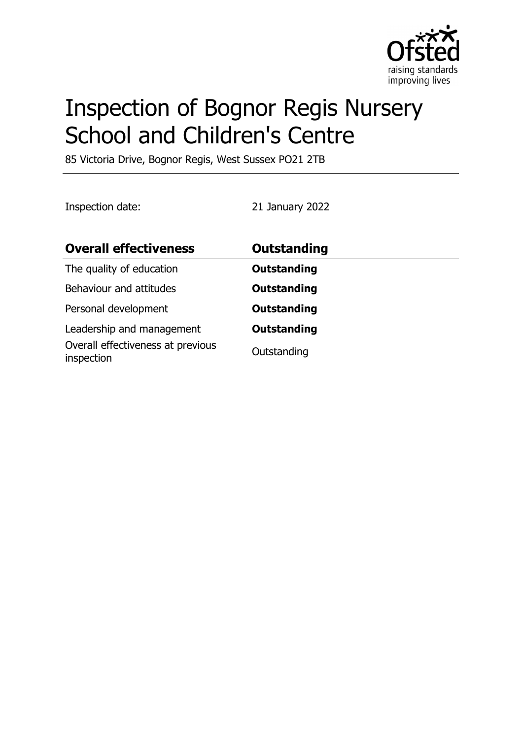

# Inspection of Bognor Regis Nursery School and Children's Centre

85 Victoria Drive, Bognor Regis, West Sussex PO21 2TB

Inspection date: 21 January 2022

| <b>Overall effectiveness</b>                                                 | <b>Outstanding</b>                |
|------------------------------------------------------------------------------|-----------------------------------|
| The quality of education                                                     | <b>Outstanding</b>                |
| Behaviour and attitudes                                                      | <b>Outstanding</b>                |
| Personal development                                                         | <b>Outstanding</b>                |
| Leadership and management<br>Overall effectiveness at previous<br>inspection | <b>Outstanding</b><br>Outstanding |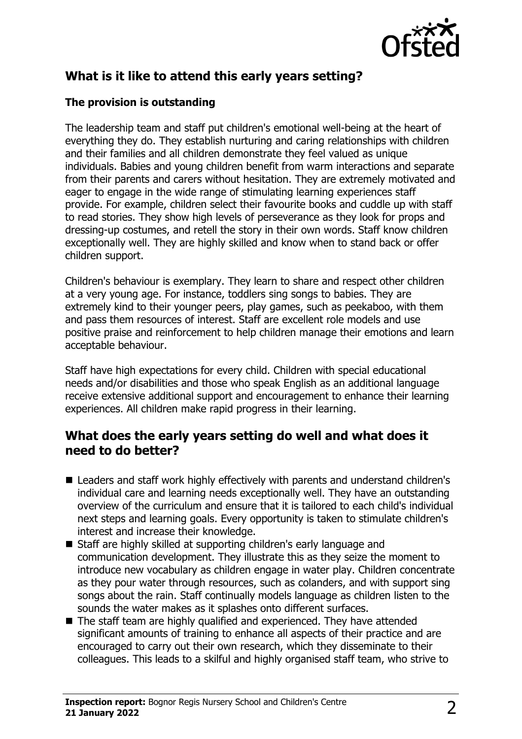

# **What is it like to attend this early years setting?**

#### **The provision is outstanding**

The leadership team and staff put children's emotional well-being at the heart of everything they do. They establish nurturing and caring relationships with children and their families and all children demonstrate they feel valued as unique individuals. Babies and young children benefit from warm interactions and separate from their parents and carers without hesitation. They are extremely motivated and eager to engage in the wide range of stimulating learning experiences staff provide. For example, children select their favourite books and cuddle up with staff to read stories. They show high levels of perseverance as they look for props and dressing-up costumes, and retell the story in their own words. Staff know children exceptionally well. They are highly skilled and know when to stand back or offer children support.

Children's behaviour is exemplary. They learn to share and respect other children at a very young age. For instance, toddlers sing songs to babies. They are extremely kind to their younger peers, play games, such as peekaboo, with them and pass them resources of interest. Staff are excellent role models and use positive praise and reinforcement to help children manage their emotions and learn acceptable behaviour.

Staff have high expectations for every child. Children with special educational needs and/or disabilities and those who speak English as an additional language receive extensive additional support and encouragement to enhance their learning experiences. All children make rapid progress in their learning.

## **What does the early years setting do well and what does it need to do better?**

- Leaders and staff work highly effectively with parents and understand children's individual care and learning needs exceptionally well. They have an outstanding overview of the curriculum and ensure that it is tailored to each child's individual next steps and learning goals. Every opportunity is taken to stimulate children's interest and increase their knowledge.
- Staff are highly skilled at supporting children's early language and communication development. They illustrate this as they seize the moment to introduce new vocabulary as children engage in water play. Children concentrate as they pour water through resources, such as colanders, and with support sing songs about the rain. Staff continually models language as children listen to the sounds the water makes as it splashes onto different surfaces.
- $\blacksquare$  The staff team are highly qualified and experienced. They have attended significant amounts of training to enhance all aspects of their practice and are encouraged to carry out their own research, which they disseminate to their colleagues. This leads to a skilful and highly organised staff team, who strive to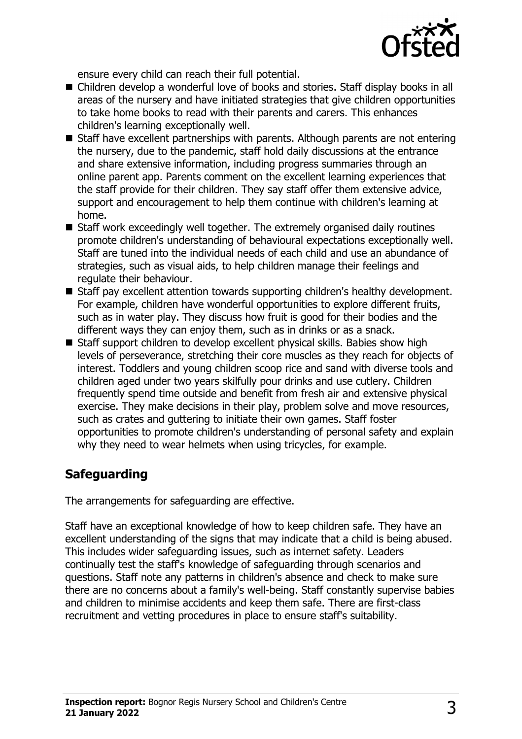

ensure every child can reach their full potential.

- Children develop a wonderful love of books and stories. Staff display books in all areas of the nursery and have initiated strategies that give children opportunities to take home books to read with their parents and carers. This enhances children's learning exceptionally well.
- $\blacksquare$  Staff have excellent partnerships with parents. Although parents are not entering the nursery, due to the pandemic, staff hold daily discussions at the entrance and share extensive information, including progress summaries through an online parent app. Parents comment on the excellent learning experiences that the staff provide for their children. They say staff offer them extensive advice, support and encouragement to help them continue with children's learning at home.
- $\blacksquare$  Staff work exceedingly well together. The extremely organised daily routines promote children's understanding of behavioural expectations exceptionally well. Staff are tuned into the individual needs of each child and use an abundance of strategies, such as visual aids, to help children manage their feelings and regulate their behaviour.
- Staff pay excellent attention towards supporting children's healthy development. For example, children have wonderful opportunities to explore different fruits, such as in water play. They discuss how fruit is good for their bodies and the different ways they can enjoy them, such as in drinks or as a snack.
- Staff support children to develop excellent physical skills. Babies show high levels of perseverance, stretching their core muscles as they reach for objects of interest. Toddlers and young children scoop rice and sand with diverse tools and children aged under two years skilfully pour drinks and use cutlery. Children frequently spend time outside and benefit from fresh air and extensive physical exercise. They make decisions in their play, problem solve and move resources, such as crates and guttering to initiate their own games. Staff foster opportunities to promote children's understanding of personal safety and explain why they need to wear helmets when using tricycles, for example.

# **Safeguarding**

The arrangements for safeguarding are effective.

Staff have an exceptional knowledge of how to keep children safe. They have an excellent understanding of the signs that may indicate that a child is being abused. This includes wider safeguarding issues, such as internet safety. Leaders continually test the staff's knowledge of safeguarding through scenarios and questions. Staff note any patterns in children's absence and check to make sure there are no concerns about a family's well-being. Staff constantly supervise babies and children to minimise accidents and keep them safe. There are first-class recruitment and vetting procedures in place to ensure staff's suitability.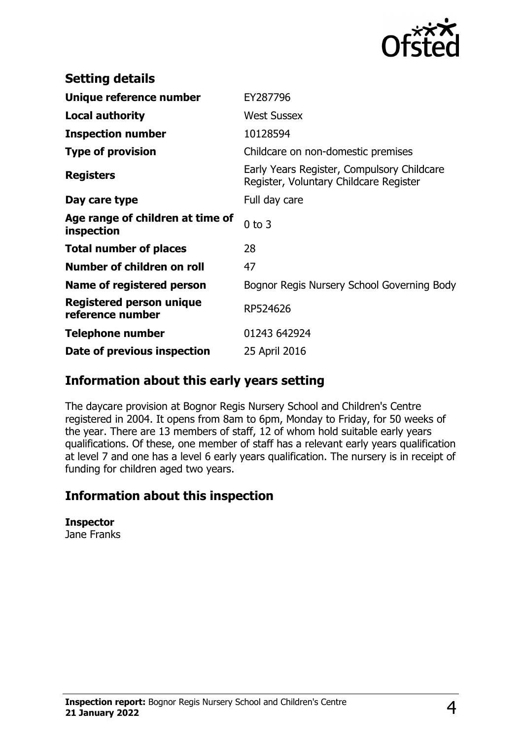

| <b>Setting details</b>                         |                                                                                      |
|------------------------------------------------|--------------------------------------------------------------------------------------|
| Unique reference number                        | EY287796                                                                             |
| Local authority                                | <b>West Sussex</b>                                                                   |
| <b>Inspection number</b>                       | 10128594                                                                             |
| <b>Type of provision</b>                       | Childcare on non-domestic premises                                                   |
| <b>Registers</b>                               | Early Years Register, Compulsory Childcare<br>Register, Voluntary Childcare Register |
| Day care type                                  | Full day care                                                                        |
| Age range of children at time of<br>inspection | $0$ to $3$                                                                           |
| <b>Total number of places</b>                  | 28                                                                                   |
| Number of children on roll                     | 47                                                                                   |
| Name of registered person                      | Bognor Regis Nursery School Governing Body                                           |
| Registered person unique<br>reference number   | RP524626                                                                             |
| <b>Telephone number</b>                        | 01243 642924                                                                         |
| Date of previous inspection                    | 25 April 2016                                                                        |

## **Information about this early years setting**

The daycare provision at Bognor Regis Nursery School and Children's Centre registered in 2004. It opens from 8am to 6pm, Monday to Friday, for 50 weeks of the year. There are 13 members of staff, 12 of whom hold suitable early years qualifications. Of these, one member of staff has a relevant early years qualification at level 7 and one has a level 6 early years qualification. The nursery is in receipt of funding for children aged two years.

## **Information about this inspection**

**Inspector** Jane Franks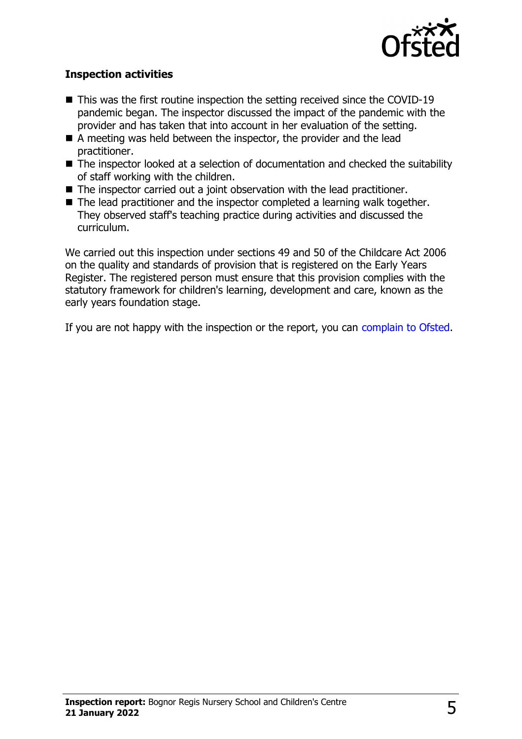

#### **Inspection activities**

- $\blacksquare$  This was the first routine inspection the setting received since the COVID-19 pandemic began. The inspector discussed the impact of the pandemic with the provider and has taken that into account in her evaluation of the setting.
- A meeting was held between the inspector, the provider and the lead practitioner.
- $\blacksquare$  The inspector looked at a selection of documentation and checked the suitability of staff working with the children.
- The inspector carried out a joint observation with the lead practitioner.
- $\blacksquare$  The lead practitioner and the inspector completed a learning walk together. They observed staff's teaching practice during activities and discussed the curriculum.

We carried out this inspection under sections 49 and 50 of the Childcare Act 2006 on the quality and standards of provision that is registered on the Early Years Register. The registered person must ensure that this provision complies with the statutory framework for children's learning, development and care, known as the early years foundation stage.

If you are not happy with the inspection or the report, you can [complain to Ofsted](http://www.gov.uk/complain-ofsted-report).